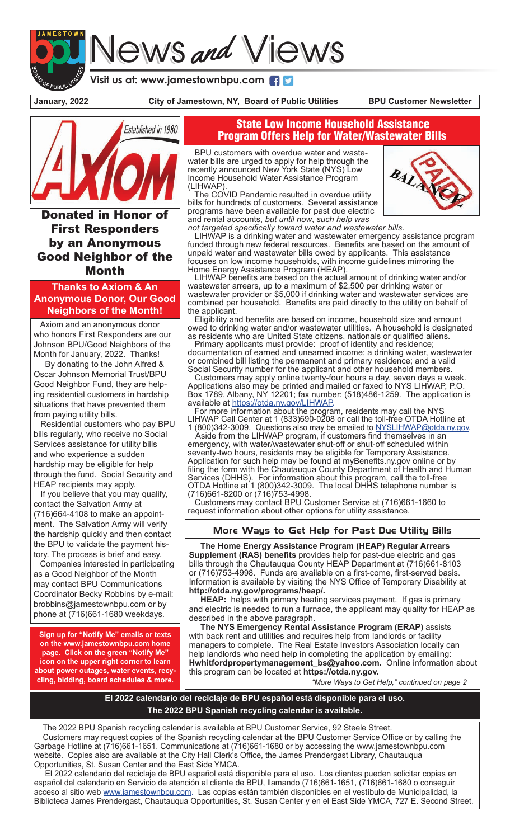## News and Views

**Visit us at: www.jamestownbpu.com**

**January, 2022 City of Jamestown, NY, Board of Public Utilities BPU Customer Newsletter**



**Donated in Honor** First Responders by an Anonymous Good Neighbor of the Month

**Thanks to Axiom & An Anonymous Donor, Our Good Neighbors of the Month!**

 Axiom and an anonymous donor who honors First Responders are our Johnson BPU/Good Neighbors of the Month for January, 2022. Thanks!

 By donating to the John Alfred & Oscar Johnson Memorial Trust/BPU Good Neighbor Fund, they are helping residential customers in hardship situations that have prevented them from paying utility bills.

 Residential customers who pay BPU bills regularly, who receive no Social Services assistance for utility bills and who experience a sudden hardship may be eligible for help through the fund. Social Security and HEAP recipients may apply.

 If you believe that you may qualify, contact the Salvation Army at (716)664-4108 to make an appointment. The Salvation Army will verify the hardship quickly and then contact the BPU to validate the payment history. The process is brief and easy.

Companies interested in participating as a Good Neighbor of the Month may contact BPU Communications Coordinator Becky Robbins by e-mail: brobbins@jamestownbpu.com or by phone at (716)661-1680 weekdays.

**Sign up for "Notify Me" emails or texts on the www.jamestownbpu.com home page. Click on the green "Notify Me" icon on the upper right corner to learn about power outages, water events, recycling, bidding, board schedules & more.**

## State Low Income Household Assistance Program Offers Help for Water/Wastewater Bills

 BPU customers with overdue water and waste- water bills are urged to apply for help through the recently announced New York State (NYS) Low Income Household Water Assistance Program (LIHWAP).

The COVID Pandemic resulted in overdue utility bills for hundreds of customers. Several assistance programs have been available for past due electric and rental accounts, *but until now*, *such help was* 



*not targeted specifically toward water and wastewater bills.*

 LIHWAP is a drinking water and wastewater emergency assistance program funded through new federal resources. Benefits are based on the amount of unpaid water and wastewater bills owed by applicants. This assistance focuses on low income households, with income guidelines mirroring the Home Energy Assistance Program (HEAP).

 LIHWAP benefits are based on the actual amount of drinking water and/or wastewater arrears, up to a maximum of \$2,500 per drinking water or wastewater provider or \$5,000 if drinking water and wastewater services are combined per household. Benefits are paid directly to the utility on behalf of the applicant.

 Eligibility and benefits are based on income, household size and amount owed to drinking water and/or wastewater utilities. A household is designated as residents who are United State citizens, nationals or qualified aliens.

 Primary applicants must provide: proof of identity and residence; documentation of earned and unearned income; a drinking water, wastewater or combined bill listing the permanent and primary residence; and a valid Social Security number for the applicant and other household members.

 Customers may apply online twenty-four hours a day, seven days a week. Applications also may be printed and mailed or faxed to NYS LIHWAP, P.O. Box 1789, Albany, NY 12201; fax number: (518)486-1259. The application is available at https://otda.ny.gov/LIHWAP.<br>For more information about the program, residents may call the NYS

LIHWAP Call Center at 1 (833)690-0208 or call the toll-free OTDA Hotline at 1 (800)342-3009. Questions also may be emailed to NYSLIHWAP@otda.ny.gov.

 Aside from the LIHWAP program, if customers find themselves in an emergency, with water/wastewater shut-off or shut-off scheduled within seventy-two hours, residents may be eligible for Temporary Assistance. Application for such help may be found at myBenefits.ny.gov online or by filing the form with the Chautauqua County Department of Health and Human Services (DHHS). For information about this program, call the toll-free OTDA Hotline at 1 (800)342-3009. The local DHHS telephone number is (716)661-8200 or (716)753-4998.

 Customers may contact BPU Customer Service at (716)661-1660 to request information about other options for utility assistance.

## More Ways to Get Help for Past Due Utility Bills

 **The Home Energy Assistance Program (HEAP) Regular Arrears Supplement (RAS) benefits** provides help for past-due electric and gas bills through the Chautauqua County HEAP Department at (716)661-8103 or (716)753-4998. Funds are available on a first-come, first-served basis. Information is available by visiting the NYS Office of Temporary Disability at **http://otda.ny.gov/programs/heap/.**

 **HEAP:** helps with primary heating services payment. If gas is primary and electric is needed to run a furnace, the applicant may quality for HEAP as described in the above paragraph.

 **The NYS Emergency Rental Assistance Program (ERAP)** assists with back rent and utilities and requires help from landlords or facility managers to complete. The Real Estate Investors Association locally can help landlords who need help in completing the application by emailing: **Hwhitfordpropertymanagement\_bs@yahoo.com.** Online information about this program can be located at **https://otda.ny.gov.**

*"More Ways to Get Help," continued on page 2*

**El 2022 calendario del reciclaje de BPU español está disponible para el uso. The 2022 BPU Spanish recycling calendar is available.**

 The 2022 BPU Spanish recycling calendar is available at BPU Customer Service, 92 Steele Street. Customers may request copies of the Spanish recycling calendar at the BPU Customer Service Office or by calling the Garbage Hotline at (716)661-1651, Communications at (716)661-1680 or by accessing the www.jamestownbpu.com website. Copies also are available at the City Hall Clerk's Office, the James Prendergast Library, Chautauqua Opportunities, St. Susan Center and the East Side YMCA.

 El 2022 calendario del reciclaje de BPU español está disponible para el uso. Los clientes pueden solicitar copias en español del calendario en Servicio de atención al cliente de BPU, llamando (716)661-1651, (716)661-1680 o conseguir acceso al sitio web www.jamestownbpu.com. Las copias están también disponibles en el vestíbulo de Municipalidad, la Biblioteca James Prendergast, Chautauqua Opportunities, St. Susan Center y en el East Side YMCA, 727 E. Second Street.